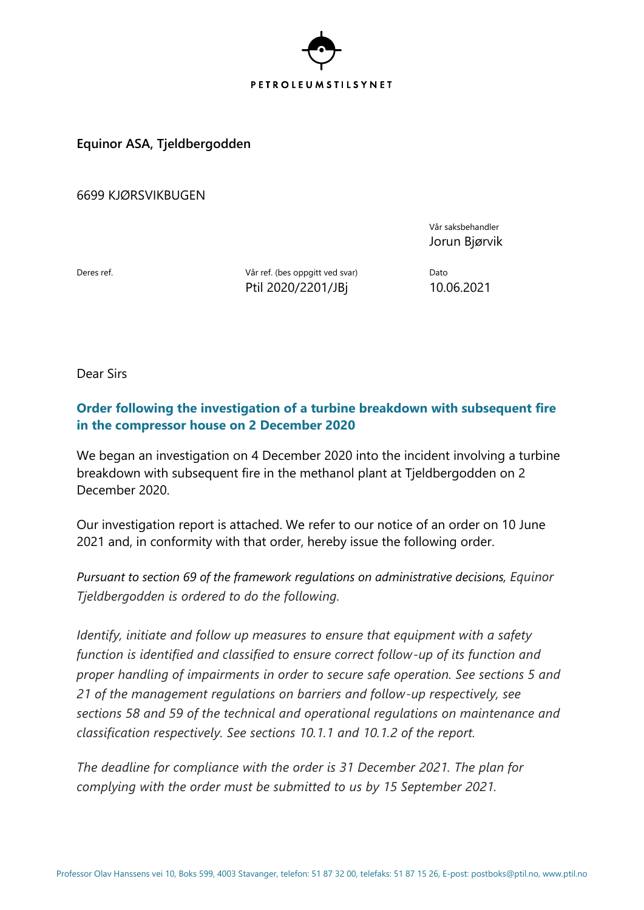

**Equinor ASA, Tjeldbergodden**

6699 KJØRSVIKBUGEN

Vår saksbehandler Jorun Bjørvik

Deres ref. **Deres ref.** (bes oppgitt ved svar) Dato Ptil 2020/2201/JBj 10.06.2021

Dear Sirs

## **Order following the investigation of a turbine breakdown with subsequent fire in the compressor house on 2 December 2020**

We began an investigation on 4 December 2020 into the incident involving a turbine breakdown with subsequent fire in the methanol plant at Tjeldbergodden on 2 December 2020.

Our investigation report is attached. We refer to our notice of an order on 10 June 2021 and, in conformity with that order, hereby issue the following order.

*Pursuant to section 69 of the framework regulations on administrative decisions, Equinor Tjeldbergodden is ordered to do the following.*

*Identify, initiate and follow up measures to ensure that equipment with a safety function is identified and classified to ensure correct follow-up of its function and proper handling of impairments in order to secure safe operation. See sections 5 and 21 of the management regulations on barriers and follow-up respectively, see sections 58 and 59 of the technical and operational regulations on maintenance and classification respectively. See sections 10.1.1 and 10.1.2 of the report.*

*The deadline for compliance with the order is 31 December 2021. The plan for complying with the order must be submitted to us by 15 September 2021.*